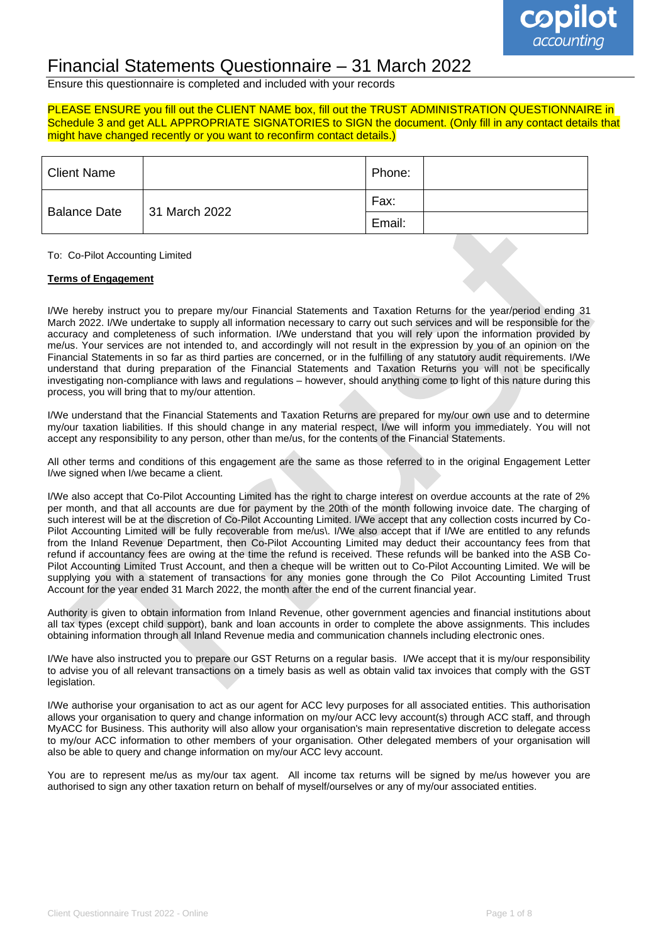

## Financial Statements Questionnaire – 31 March 2022

Ensure this questionnaire is completed and included with your records

### PLEASE ENSURE you fill out the CLIENT NAME box, fill out the TRUST ADMINISTRATION QUESTIONNAIRE in Schedule 3 and get ALL APPROPRIATE SIGNATORIES to SIGN the document. (Only fill in any contact details that might have changed recently or you want to reconfirm contact details.)

| <b>Client Name</b>  |               | Phone: |  |
|---------------------|---------------|--------|--|
| <b>Balance Date</b> | 31 March 2022 | Fax:   |  |
|                     |               | Email: |  |

### To: Co-Pilot Accounting Limited

### **Terms of Engagement**

I/We hereby instruct you to prepare my/our Financial Statements and Taxation Returns for the year/period ending 31 March 2022. I/We undertake to supply all information necessary to carry out such services and will be responsible for the accuracy and completeness of such information. I/We understand that you will rely upon the information provided by me/us. Your services are not intended to, and accordingly will not result in the expression by you of an opinion on the Financial Statements in so far as third parties are concerned, or in the fulfilling of any statutory audit requirements. I/We understand that during preparation of the Financial Statements and Taxation Returns you will not be specifically investigating non-compliance with laws and regulations – however, should anything come to light of this nature during this process, you will bring that to my/our attention.

I/We understand that the Financial Statements and Taxation Returns are prepared for my/our own use and to determine my/our taxation liabilities. If this should change in any material respect, I/we will inform you immediately. You will not accept any responsibility to any person, other than me/us, for the contents of the Financial Statements.

All other terms and conditions of this engagement are the same as those referred to in the original Engagement Letter I/we signed when I/we became a client.

I/We also accept that Co-Pilot Accounting Limited has the right to charge interest on overdue accounts at the rate of 2% per month, and that all accounts are due for payment by the 20th of the month following invoice date. The charging of such interest will be at the discretion of Co-Pilot Accounting Limited. I/We accept that any collection costs incurred by Co-Pilot Accounting Limited will be fully recoverable from me/us\. I/We also accept that if I/We are entitled to any refunds from the Inland Revenue Department, then Co-Pilot Accounting Limited may deduct their accountancy fees from that refund if accountancy fees are owing at the time the refund is received. These refunds will be banked into the ASB Co-Pilot Accounting Limited Trust Account, and then a cheque will be written out to Co-Pilot Accounting Limited. We will be supplying you with a statement of transactions for any monies gone through the Co Pilot Accounting Limited Trust Account for the year ended 31 March 2022, the month after the end of the current financial year.

Authority is given to obtain information from Inland Revenue, other government agencies and financial institutions about all tax types (except child support), bank and loan accounts in order to complete the above assignments. This includes obtaining information through all Inland Revenue media and communication channels including electronic ones.

I/We have also instructed you to prepare our GST Returns on a regular basis. I/We accept that it is my/our responsibility to advise you of all relevant transactions on a timely basis as well as obtain valid tax invoices that comply with the GST legislation.

I/We authorise your organisation to act as our agent for ACC levy purposes for all associated entities. This authorisation allows your organisation to query and change information on my/our ACC levy account(s) through ACC staff, and through MyACC for Business. This authority will also allow your organisation's main representative discretion to delegate access to my/our ACC information to other members of your organisation. Other delegated members of your organisation will also be able to query and change information on my/our ACC levy account.

You are to represent me/us as my/our tax agent. All income tax returns will be signed by me/us however you are authorised to sign any other taxation return on behalf of myself/ourselves or any of my/our associated entities.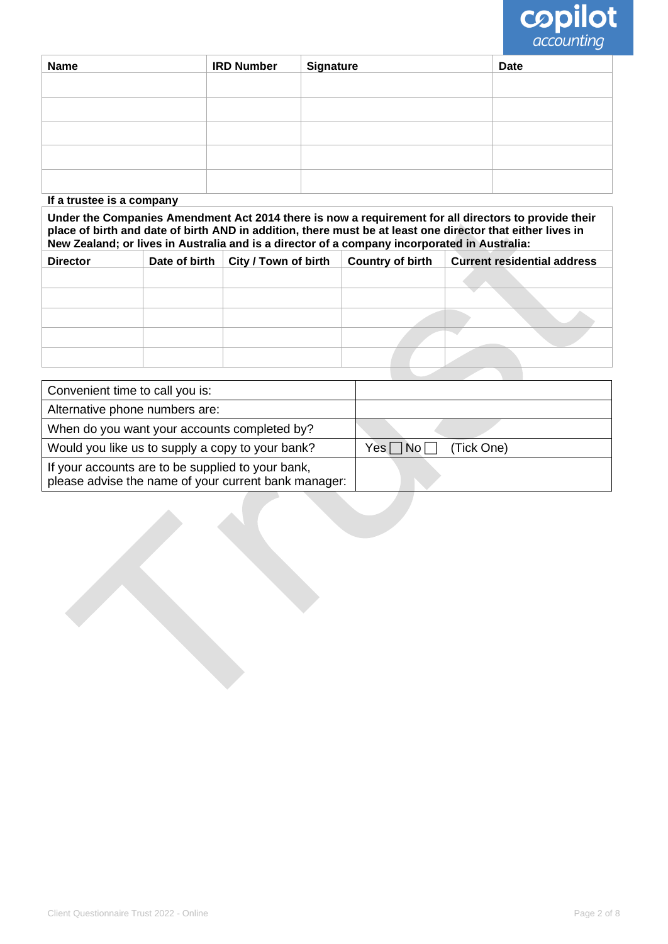

| <b>Name</b> | <b>IRD Number</b> | <b>Signature</b> | <b>Date</b> |
|-------------|-------------------|------------------|-------------|
|             |                   |                  |             |
|             |                   |                  |             |
|             |                   |                  |             |
|             |                   |                  |             |
|             |                   |                  |             |

### **If a trustee is a company**

**Under the Companies Amendment Act 2014 there is now a requirement for all directors to provide their place of birth and date of birth AND in addition, there must be at least one director that either lives in New Zealand; or lives in Australia and is a director of a company incorporated in Australia:**

| <b>Director</b> | Date of birth | <b>City / Town of birth</b> | <b>Country of birth</b> | <b>Current residential address</b> |
|-----------------|---------------|-----------------------------|-------------------------|------------------------------------|
|                 |               |                             |                         |                                    |
|                 |               |                             |                         |                                    |
|                 |               |                             |                         |                                    |
|                 |               |                             |                         |                                    |
|                 |               |                             |                         |                                    |

| Convenient time to call you is:                                                                           |            |
|-----------------------------------------------------------------------------------------------------------|------------|
| Alternative phone numbers are:                                                                            |            |
| When do you want your accounts completed by?                                                              |            |
| Would you like us to supply a copy to your bank?                                                          | (Tick One) |
| If your accounts are to be supplied to your bank,<br>please advise the name of your current bank manager: |            |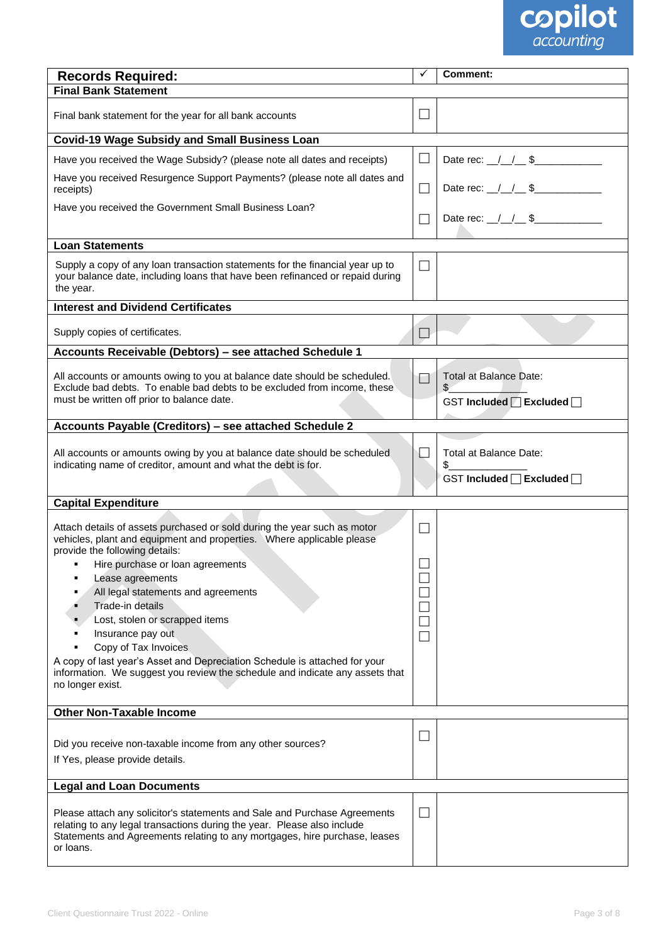

| <b>Records Required:</b>                                                                                                                                                                                                                        | ✓                           | <b>Comment:</b>                                              |
|-------------------------------------------------------------------------------------------------------------------------------------------------------------------------------------------------------------------------------------------------|-----------------------------|--------------------------------------------------------------|
| <b>Final Bank Statement</b>                                                                                                                                                                                                                     |                             |                                                              |
| Final bank statement for the year for all bank accounts                                                                                                                                                                                         | $\Box$                      |                                                              |
| <b>Covid-19 Wage Subsidy and Small Business Loan</b>                                                                                                                                                                                            |                             |                                                              |
| Have you received the Wage Subsidy? (please note all dates and receipts)                                                                                                                                                                        | $\Box$                      | Date rec: $1/1$ \$                                           |
| Have you received Resurgence Support Payments? (please note all dates and<br>receipts)                                                                                                                                                          | $\Box$                      | Date rec: $1/1$ \$                                           |
| Have you received the Government Small Business Loan?                                                                                                                                                                                           | $\Box$                      | Date rec: $1/1$ \$                                           |
| <b>Loan Statements</b>                                                                                                                                                                                                                          |                             |                                                              |
| Supply a copy of any loan transaction statements for the financial year up to<br>your balance date, including loans that have been refinanced or repaid during<br>the year.                                                                     | $\Box$                      |                                                              |
| <b>Interest and Dividend Certificates</b>                                                                                                                                                                                                       |                             |                                                              |
| Supply copies of certificates.                                                                                                                                                                                                                  | $\Box$                      |                                                              |
| Accounts Receivable (Debtors) - see attached Schedule 1                                                                                                                                                                                         |                             |                                                              |
|                                                                                                                                                                                                                                                 |                             |                                                              |
| All accounts or amounts owing to you at balance date should be scheduled.<br>Exclude bad debts. To enable bad debts to be excluded from income, these                                                                                           | П                           | <b>Total at Balance Date:</b><br>$\mathcal{L}_{\mathcal{L}}$ |
| must be written off prior to balance date.                                                                                                                                                                                                      |                             | GST Included □ Excluded □                                    |
| Accounts Payable (Creditors) - see attached Schedule 2                                                                                                                                                                                          |                             |                                                              |
| All accounts or amounts owing by you at balance date should be scheduled<br>indicating name of creditor, amount and what the debt is for.                                                                                                       | $\mathcal{L}_{\mathcal{A}}$ | Total at Balance Date:<br>\$                                 |
|                                                                                                                                                                                                                                                 |                             | GST Included □ Excluded □                                    |
| <b>Capital Expenditure</b>                                                                                                                                                                                                                      |                             |                                                              |
|                                                                                                                                                                                                                                                 |                             |                                                              |
| Attach details of assets purchased or sold during the year such as motor<br>vehicles, plant and equipment and properties.  Where applicable please<br>provide the following details:                                                            | $\Box$                      |                                                              |
| Hire purchase or loan agreements                                                                                                                                                                                                                |                             |                                                              |
| Lease agreements                                                                                                                                                                                                                                |                             |                                                              |
| All legal statements and agreements                                                                                                                                                                                                             |                             |                                                              |
| Trade-in details                                                                                                                                                                                                                                |                             |                                                              |
| Lost, stolen or scrapped items                                                                                                                                                                                                                  | ×.                          |                                                              |
| Insurance pay out                                                                                                                                                                                                                               | $\mathcal{L}_{\mathcal{A}}$ |                                                              |
| Copy of Tax Invoices                                                                                                                                                                                                                            |                             |                                                              |
| A copy of last year's Asset and Depreciation Schedule is attached for your<br>information. We suggest you review the schedule and indicate any assets that<br>no longer exist.                                                                  |                             |                                                              |
| <b>Other Non-Taxable Income</b>                                                                                                                                                                                                                 |                             |                                                              |
|                                                                                                                                                                                                                                                 |                             |                                                              |
| Did you receive non-taxable income from any other sources?                                                                                                                                                                                      | ⊔                           |                                                              |
| If Yes, please provide details.                                                                                                                                                                                                                 |                             |                                                              |
| <b>Legal and Loan Documents</b>                                                                                                                                                                                                                 |                             |                                                              |
|                                                                                                                                                                                                                                                 |                             |                                                              |
| Please attach any solicitor's statements and Sale and Purchase Agreements<br>relating to any legal transactions during the year. Please also include<br>Statements and Agreements relating to any mortgages, hire purchase, leases<br>or loans. | $\Box$                      |                                                              |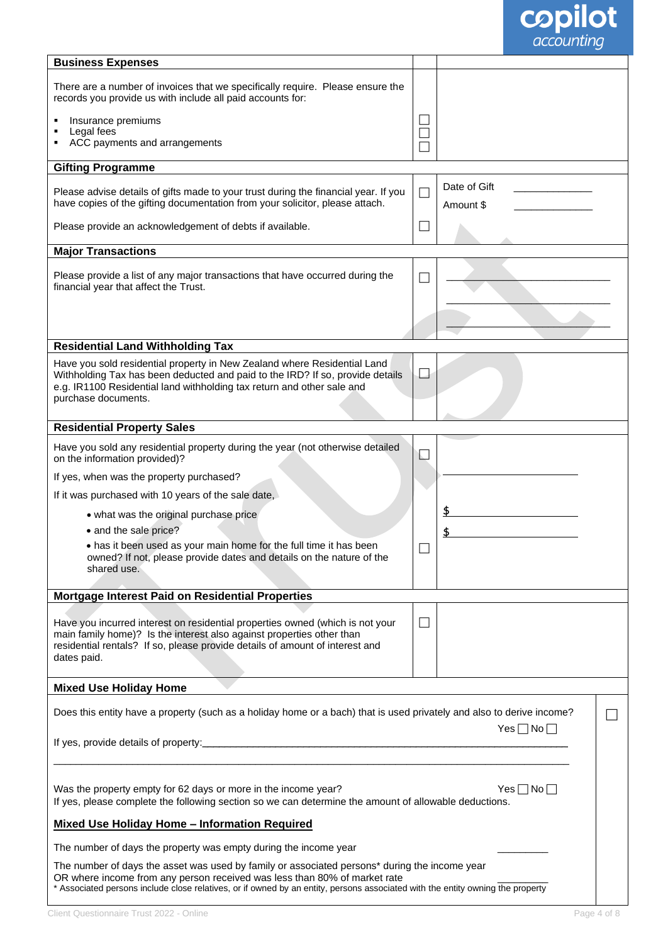

| <b>Business Expenses</b>                                                                                                                                                                                                                                                                                     |                          |                           |  |
|--------------------------------------------------------------------------------------------------------------------------------------------------------------------------------------------------------------------------------------------------------------------------------------------------------------|--------------------------|---------------------------|--|
| There are a number of invoices that we specifically require. Please ensure the<br>records you provide us with include all paid accounts for:                                                                                                                                                                 |                          |                           |  |
| Insurance premiums                                                                                                                                                                                                                                                                                           |                          |                           |  |
| Legal fees<br>ACC payments and arrangements<br>٠                                                                                                                                                                                                                                                             |                          |                           |  |
|                                                                                                                                                                                                                                                                                                              |                          |                           |  |
| <b>Gifting Programme</b>                                                                                                                                                                                                                                                                                     |                          |                           |  |
| Please advise details of gifts made to your trust during the financial year. If you<br>have copies of the gifting documentation from your solicitor, please attach.                                                                                                                                          | $\Box$                   | Date of Gift<br>Amount \$ |  |
| Please provide an acknowledgement of debts if available.                                                                                                                                                                                                                                                     | $\Box$                   |                           |  |
| <b>Major Transactions</b>                                                                                                                                                                                                                                                                                    |                          |                           |  |
| Please provide a list of any major transactions that have occurred during the<br>financial year that affect the Trust.                                                                                                                                                                                       | L                        |                           |  |
|                                                                                                                                                                                                                                                                                                              |                          |                           |  |
| <b>Residential Land Withholding Tax</b>                                                                                                                                                                                                                                                                      |                          |                           |  |
| Have you sold residential property in New Zealand where Residential Land<br>Withholding Tax has been deducted and paid to the IRD? If so, provide details<br>e.g. IR1100 Residential land withholding tax return and other sale and<br>purchase documents.                                                   | $\overline{\phantom{a}}$ |                           |  |
| <b>Residential Property Sales</b>                                                                                                                                                                                                                                                                            |                          |                           |  |
| Have you sold any residential property during the year (not otherwise detailed<br>on the information provided)?                                                                                                                                                                                              | $\mathbb{R}^+$           |                           |  |
| If yes, when was the property purchased?                                                                                                                                                                                                                                                                     |                          |                           |  |
| If it was purchased with 10 years of the sale date,                                                                                                                                                                                                                                                          |                          |                           |  |
| • what was the original purchase price                                                                                                                                                                                                                                                                       |                          |                           |  |
| • and the sale price?                                                                                                                                                                                                                                                                                        |                          |                           |  |
| . has it been used as your main home for the full time it has been<br>owned? If not, please provide dates and details on the nature of the<br>shared use.                                                                                                                                                    |                          |                           |  |
| Mortgage Interest Paid on Residential Properties                                                                                                                                                                                                                                                             |                          |                           |  |
| Have you incurred interest on residential properties owned (which is not your<br>main family home)? Is the interest also against properties other than<br>residential rentals? If so, please provide details of amount of interest and<br>dates paid.                                                        | $\Box$                   |                           |  |
|                                                                                                                                                                                                                                                                                                              |                          |                           |  |
| <b>Mixed Use Holiday Home</b>                                                                                                                                                                                                                                                                                |                          |                           |  |
| Does this entity have a property (such as a holiday home or a bach) that is used privately and also to derive income?                                                                                                                                                                                        |                          | $Yes \Box No \Box$        |  |
|                                                                                                                                                                                                                                                                                                              |                          |                           |  |
| Was the property empty for 62 days or more in the income year?<br>$Yes \Box No \Box$<br>If yes, please complete the following section so we can determine the amount of allowable deductions.                                                                                                                |                          |                           |  |
| <b>Mixed Use Holiday Home - Information Required</b>                                                                                                                                                                                                                                                         |                          |                           |  |
| The number of days the property was empty during the income year                                                                                                                                                                                                                                             |                          |                           |  |
| The number of days the asset was used by family or associated persons* during the income year<br>OR where income from any person received was less than 80% of market rate<br>* Associated persons include close relatives, or if owned by an entity, persons associated with the entity owning the property |                          |                           |  |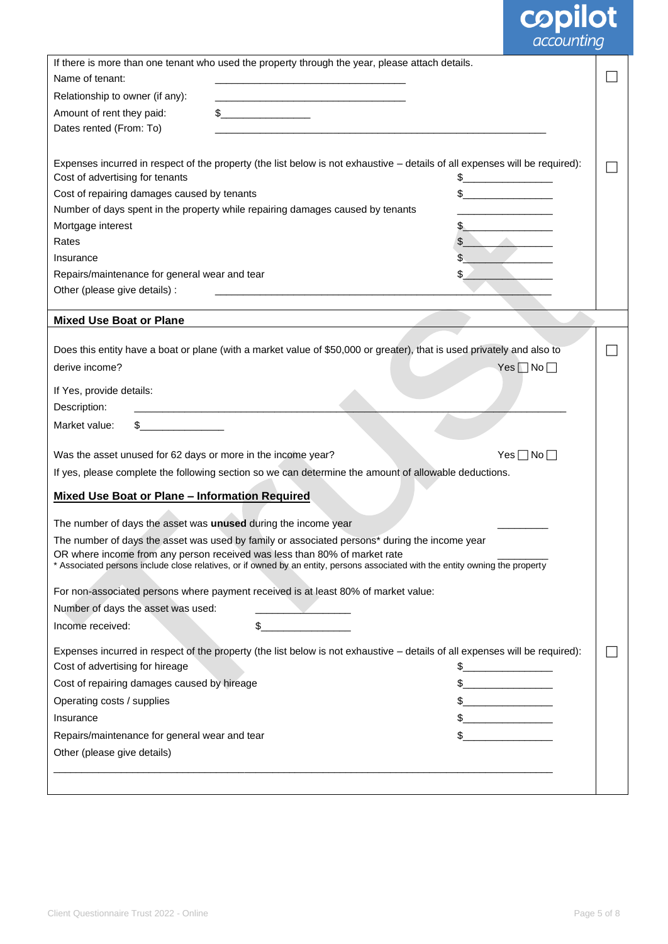# **copilot**

|                                                                                                                                        | If there is more than one tenant who used the property through the year, please attach details.                                                                                                                                                                                                                                                     |  |
|----------------------------------------------------------------------------------------------------------------------------------------|-----------------------------------------------------------------------------------------------------------------------------------------------------------------------------------------------------------------------------------------------------------------------------------------------------------------------------------------------------|--|
| Name of tenant:                                                                                                                        |                                                                                                                                                                                                                                                                                                                                                     |  |
| Relationship to owner (if any):                                                                                                        |                                                                                                                                                                                                                                                                                                                                                     |  |
| Amount of rent they paid:                                                                                                              | $\sim$                                                                                                                                                                                                                                                                                                                                              |  |
| Dates rented (From: To)                                                                                                                |                                                                                                                                                                                                                                                                                                                                                     |  |
|                                                                                                                                        |                                                                                                                                                                                                                                                                                                                                                     |  |
|                                                                                                                                        | Expenses incurred in respect of the property (the list below is not exhaustive - details of all expenses will be required):                                                                                                                                                                                                                         |  |
| Cost of advertising for tenants                                                                                                        |                                                                                                                                                                                                                                                                                                                                                     |  |
| Cost of repairing damages caused by tenants                                                                                            |                                                                                                                                                                                                                                                                                                                                                     |  |
|                                                                                                                                        | Number of days spent in the property while repairing damages caused by tenants                                                                                                                                                                                                                                                                      |  |
| Mortgage interest                                                                                                                      |                                                                                                                                                                                                                                                                                                                                                     |  |
| Rates                                                                                                                                  |                                                                                                                                                                                                                                                                                                                                                     |  |
| Insurance                                                                                                                              |                                                                                                                                                                                                                                                                                                                                                     |  |
| Repairs/maintenance for general wear and tear                                                                                          |                                                                                                                                                                                                                                                                                                                                                     |  |
| Other (please give details) :                                                                                                          |                                                                                                                                                                                                                                                                                                                                                     |  |
| <b>Mixed Use Boat or Plane</b>                                                                                                         |                                                                                                                                                                                                                                                                                                                                                     |  |
|                                                                                                                                        |                                                                                                                                                                                                                                                                                                                                                     |  |
|                                                                                                                                        | Does this entity have a boat or plane (with a market value of \$50,000 or greater), that is used privately and also to                                                                                                                                                                                                                              |  |
| derive income?                                                                                                                         | Yes $\Box$ No $\Box$                                                                                                                                                                                                                                                                                                                                |  |
| If Yes, provide details:                                                                                                               |                                                                                                                                                                                                                                                                                                                                                     |  |
| Description:                                                                                                                           | <u> 1990 - Johann Barbara, martin amerikan ba</u>                                                                                                                                                                                                                                                                                                   |  |
| <u> a componenta de la componenta de la componenta de la componenta de la componenta de la componenta de la compo</u><br>Market value: |                                                                                                                                                                                                                                                                                                                                                     |  |
| Was the asset unused for 62 days or more in the income year?                                                                           | Yes $\Box$ No $\Box$                                                                                                                                                                                                                                                                                                                                |  |
|                                                                                                                                        | If yes, please complete the following section so we can determine the amount of allowable deductions.                                                                                                                                                                                                                                               |  |
| <b>Mixed Use Boat or Plane - Information Required</b>                                                                                  |                                                                                                                                                                                                                                                                                                                                                     |  |
| The number of days the asset was unused during the income year                                                                         |                                                                                                                                                                                                                                                                                                                                                     |  |
|                                                                                                                                        | The number of days the asset was used by family or associated persons* during the income year                                                                                                                                                                                                                                                       |  |
|                                                                                                                                        | OR where income from any person received was less than 80% of market rate<br>* Associated persons include close relatives, or if owned by an entity, persons associated with the entity owning the property                                                                                                                                         |  |
|                                                                                                                                        | For non-associated persons where payment received is at least 80% of market value:                                                                                                                                                                                                                                                                  |  |
| Number of days the asset was used:                                                                                                     |                                                                                                                                                                                                                                                                                                                                                     |  |
| Income received:                                                                                                                       | \$                                                                                                                                                                                                                                                                                                                                                  |  |
| Cost of advertising for hireage                                                                                                        | Expenses incurred in respect of the property (the list below is not exhaustive - details of all expenses will be required):<br>$\frac{1}{2}$                                                                                                                                                                                                        |  |
| Cost of repairing damages caused by hireage                                                                                            | $\frac{1}{2}$                                                                                                                                                                                                                                                                                                                                       |  |
| Operating costs / supplies                                                                                                             | $\begin{picture}(20,10) \put(0,0){\line(1,0){10}} \put(15,0){\line(1,0){10}} \put(15,0){\line(1,0){10}} \put(15,0){\line(1,0){10}} \put(15,0){\line(1,0){10}} \put(15,0){\line(1,0){10}} \put(15,0){\line(1,0){10}} \put(15,0){\line(1,0){10}} \put(15,0){\line(1,0){10}} \put(15,0){\line(1,0){10}} \put(15,0){\line(1,0){10}} \put(15,0){\line(1$ |  |
| Insurance                                                                                                                              | $\frac{1}{2}$                                                                                                                                                                                                                                                                                                                                       |  |
| Repairs/maintenance for general wear and tear                                                                                          |                                                                                                                                                                                                                                                                                                                                                     |  |
| Other (please give details)                                                                                                            |                                                                                                                                                                                                                                                                                                                                                     |  |
|                                                                                                                                        |                                                                                                                                                                                                                                                                                                                                                     |  |
|                                                                                                                                        |                                                                                                                                                                                                                                                                                                                                                     |  |
|                                                                                                                                        |                                                                                                                                                                                                                                                                                                                                                     |  |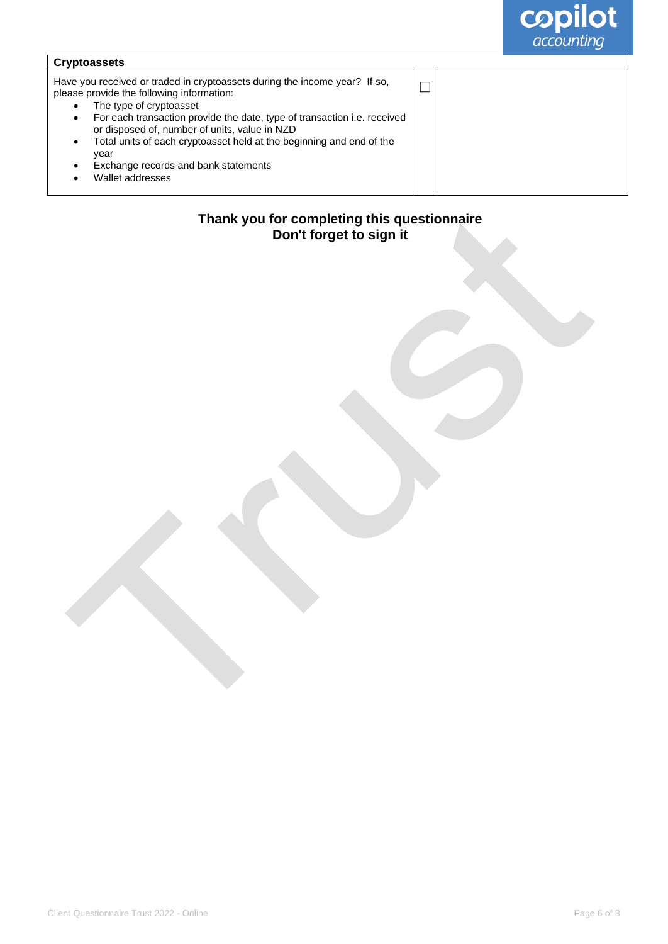

| <b>Cryptoassets</b>                                                                                                                                                                                                                                                                                                                                                                                                                                          |  |
|--------------------------------------------------------------------------------------------------------------------------------------------------------------------------------------------------------------------------------------------------------------------------------------------------------------------------------------------------------------------------------------------------------------------------------------------------------------|--|
| Have you received or traded in cryptoassets during the income year? If so,<br>please provide the following information:<br>The type of cryptoasset<br>For each transaction provide the date, type of transaction <i>i.e.</i> received<br>$\bullet$<br>or disposed of, number of units, value in NZD<br>Total units of each cryptoasset held at the beginning and end of the<br>$\bullet$<br>year<br>Exchange records and bank statements<br>Wallet addresses |  |

## **Thank you for completing this questionnaire Don't forget to sign it**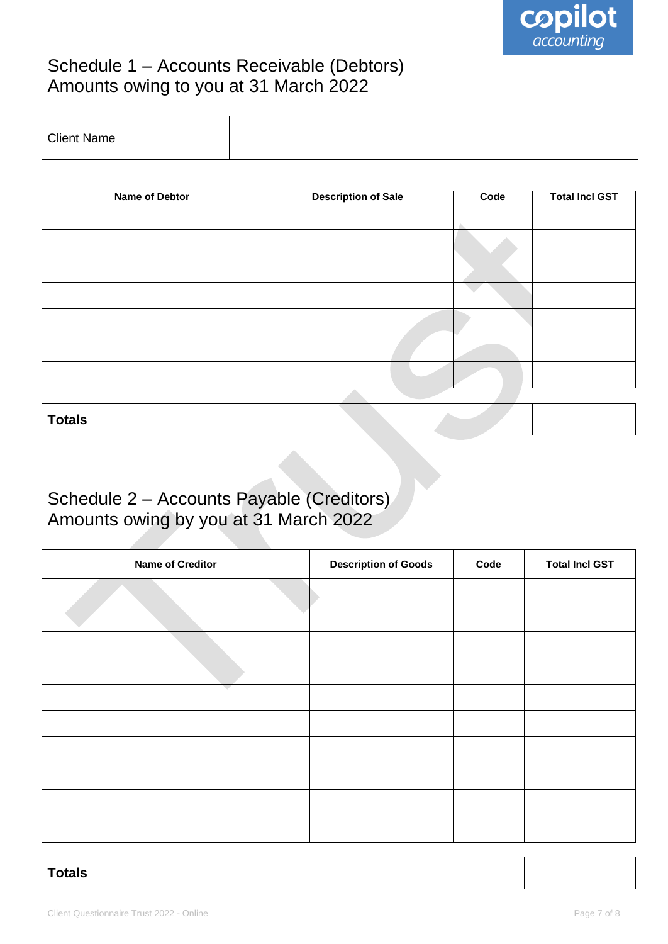

# Schedule 1 – Accounts Receivable (Debtors) Amounts owing to you at 31 March 2022

| <b>Client Name</b> |  |
|--------------------|--|
|                    |  |

| Name of Debtor | <b>Description of Sale</b> | Code | <b>Total Incl GST</b> |
|----------------|----------------------------|------|-----------------------|
|                |                            |      |                       |
|                |                            |      |                       |
|                |                            |      |                       |
|                |                            |      |                       |
|                |                            |      |                       |
|                |                            |      |                       |
|                |                            |      |                       |
|                |                            |      |                       |
|                |                            |      |                       |
|                |                            |      |                       |

**Totals**

# Schedule 2 – Accounts Payable (Creditors) Amounts owing by you at 31 March 2022

| <b>Name of Creditor</b> | <b>Description of Goods</b> | Code | <b>Total Incl GST</b> |
|-------------------------|-----------------------------|------|-----------------------|
|                         |                             |      |                       |
|                         |                             |      |                       |
|                         |                             |      |                       |
|                         |                             |      |                       |
|                         |                             |      |                       |
|                         |                             |      |                       |
|                         |                             |      |                       |
|                         |                             |      |                       |
|                         |                             |      |                       |
|                         |                             |      |                       |